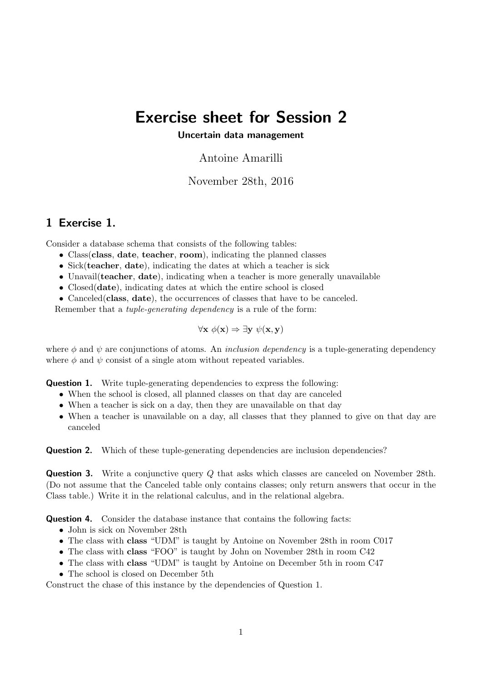## Exercise sheet for Session 2

## Uncertain data management

Antoine Amarilli

November 28th, 2016

## 1 Exercise 1.

Consider a database schema that consists of the following tables:

- Class class, date, teacher, room), indicating the planned classes
- Sick(teacher, date), indicating the dates at which a teacher is sick
- Unavail (teacher, date), indicating when a teacher is more generally unavailable
- Closed(date), indicating dates at which the entire school is closed
- Canceled (class, date), the occurrences of classes that have to be canceled.

Remember that a tuple-generating dependency is a rule of the form:

$$
\forall \mathbf{x} \; \phi(\mathbf{x}) \Rightarrow \exists \mathbf{y} \; \psi(\mathbf{x}, \mathbf{y})
$$

where  $\phi$  and  $\psi$  are conjunctions of atoms. An *inclusion dependency* is a tuple-generating dependency where  $\phi$  and  $\psi$  consist of a single atom without repeated variables.

**Question 1.** Write tuple-generating dependencies to express the following:

- When the school is closed, all planned classes on that day are canceled
- When a teacher is sick on a day, then they are unavailable on that day
- When a teacher is unavailable on a day, all classes that they planned to give on that day are canceled

**Question 2.** Which of these tuple-generating dependencies are inclusion dependencies?

**Question 3.** Write a conjunctive query Q that asks which classes are canceled on November 28th. (Do not assume that the Canceled table only contains classes; only return answers that occur in the Class table.) Write it in the relational calculus, and in the relational algebra.

Question 4. Consider the database instance that contains the following facts:

- John is sick on November 28th
- The class with class "UDM" is taught by Antoine on November 28th in room C017
- The class with class "FOO" is taught by John on November 28th in room C42
- The class with class "UDM" is taught by Antoine on December 5th in room C47
- The school is closed on December 5th

Construct the chase of this instance by the dependencies of Question 1.